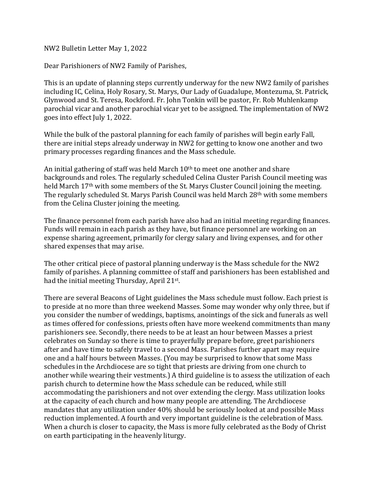NW2 Bulletin Letter May 1, 2022

Dear Parishioners of NW2 Family of Parishes,

This is an update of planning steps currently underway for the new NW2 family of parishes including IC, Celina, Holy Rosary, St. Marys, Our Lady of Guadalupe, Montezuma, St. Patrick, Glynwood and St. Teresa, Rockford. Fr. John Tonkin will be pastor, Fr. Rob Muhlenkamp parochial vicar and another parochial vicar yet to be assigned. The implementation of NW2 goes into effect July 1, 2022.

While the bulk of the pastoral planning for each family of parishes will begin early Fall, there are initial steps already underway in NW2 for getting to know one another and two primary processes regarding finances and the Mass schedule.

An initial gathering of staff was held March  $10<sup>th</sup>$  to meet one another and share backgrounds and roles. The regularly scheduled Celina Cluster Parish Council meeting was held March 17th with some members of the St. Marys Cluster Council joining the meeting. The regularly scheduled St. Marys Parish Council was held March 28th with some members from the Celina Cluster joining the meeting.

The finance personnel from each parish have also had an initial meeting regarding finances. Funds will remain in each parish as they have, but finance personnel are working on an expense sharing agreement, primarily for clergy salary and living expenses, and for other shared expenses that may arise.

The other critical piece of pastoral planning underway is the Mass schedule for the NW2 family of parishes. A planning committee of staff and parishioners has been established and had the initial meeting Thursday, April 21st.

There are several Beacons of Light guidelines the Mass schedule must follow. Each priest is to preside at no more than three weekend Masses. Some may wonder why only three, but if you consider the number of weddings, baptisms, anointings of the sick and funerals as well as times offered for confessions, priests often have more weekend commitments than many parishioners see. Secondly, there needs to be at least an hour between Masses a priest celebrates on Sunday so there is time to prayerfully prepare before, greet parishioners after and have time to safely travel to a second Mass. Parishes further apart may require one and a half hours between Masses. (You may be surprised to know that some Mass schedules in the Archdiocese are so tight that priests are driving from one church to another while wearing their vestments.) A third guideline is to assess the utilization of each parish church to determine how the Mass schedule can be reduced, while still accommodating the parishioners and not over extending the clergy. Mass utilization looks at the capacity of each church and how many people are attending. The Archdiocese mandates that any utilization under 40% should be seriously looked at and possible Mass reduction implemented. A fourth and very important guideline is the celebration of Mass. When a church is closer to capacity, the Mass is more fully celebrated as the Body of Christ on earth participating in the heavenly liturgy.